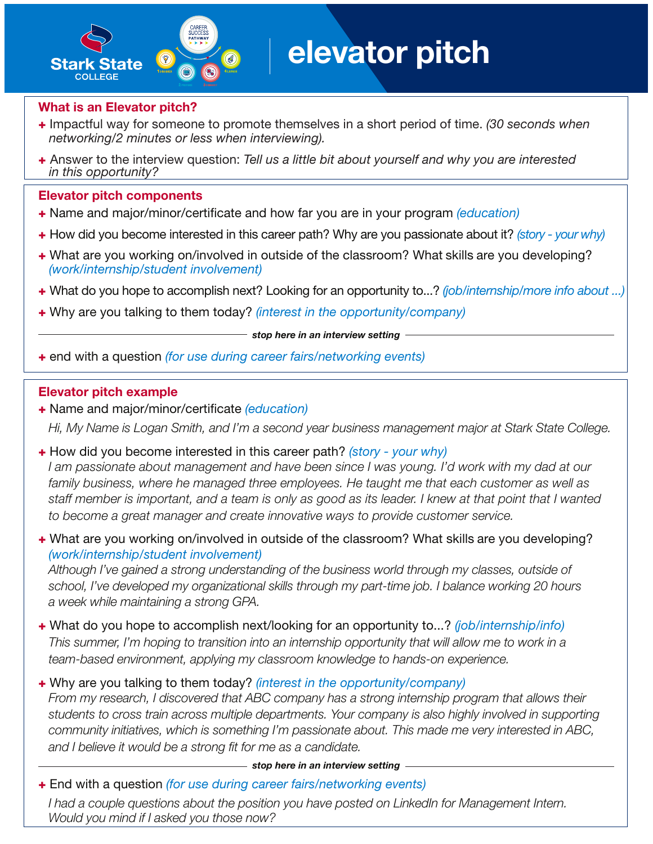

# elevator pitch

#### What is an Elevator pitch?

- + Impactful way for someone to promote themselves in a short period of time. *(30 seconds when networking/2 minutes or less when interviewing).*
- + Answer to the interview question: *Tell us a little bit about yourself and why you are interested in this opportunity?*

#### Elevator pitch components

- + Name and major/minor/certificate and how far you are in your program *(education)*
- + How did you become interested in this career path? Why are you passionate about it? *(story your why)*
- + What are you working on/involved in outside of the classroom? What skills are you developing? *(work/internship/student involvement)*
- + What do you hope to accomplish next? Looking for an opportunity to...? *(job/internship/more info about ...)*
- + Why are you talking to them today? *(interest in the opportunity/company)*

*stop here in an interview setting*

+ end with a question *(for use during career fairs/networking events)*

#### Elevator pitch example

- + Name and major/minor/certificate *(education) Hi, My Name is Logan Smith, and I'm a second year business management major at Stark State College.*
- + How did you become interested in this career path? *(story your why) I am passionate about management and have been since I was young. I'd work with my dad at our family business, where he managed three employees. He taught me that each customer as well as staff member is important, and a team is only as good as its leader. I knew at that point that I wanted to become a great manager and create innovative ways to provide customer service.*
- + What are you working on/involved in outside of the classroom? What skills are you developing? *(work/internship/student involvement)*

*Although I've gained a strong understanding of the business world through my classes, outside of school, I've developed my organizational skills through my part-time job. I balance working 20 hours a week while maintaining a strong GPA.*

+ What do you hope to accomplish next/looking for an opportunity to...? *(job/internship/info) This summer, I'm hoping to transition into an internship opportunity that will allow me to work in a team-based environment, applying my classroom knowledge to hands-on experience.*

### + Why are you talking to them today? *(interest in the opportunity/company)*

*From my research, I discovered that ABC company has a strong internship program that allows their students to cross train across multiple departments. Your company is also highly involved in supporting community initiatives, which is something I'm passionate about. This made me very interested in ABC, and I believe it would be a strong fit for me as a candidate.*

*stop here in an interview setting*

+ End with a question *(for use during career fairs/networking events)*

*I had a couple questions about the position you have posted on LinkedIn for Management Intern. Would you mind if I asked you those now?*